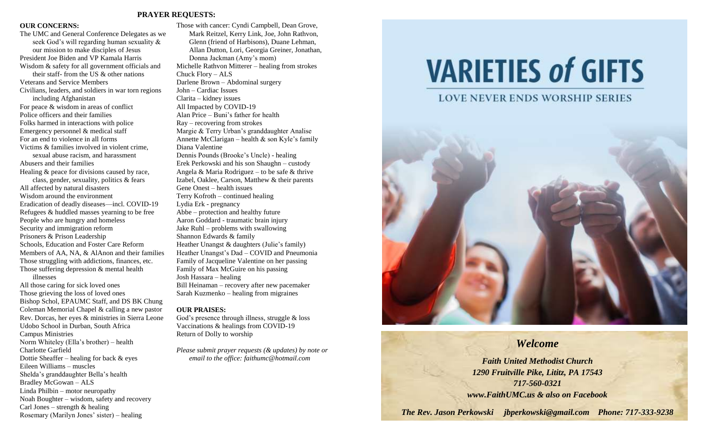#### **PRAYER REQUESTS:**

#### **OUR CONCERNS:**

The UMC and General Conference Delegates as we seek God's will regarding human sexuality & our mission to make disciples of Jesus President Joe Biden and VP Kamala Harris Wisdom & safety for all government officials and their staff- from the US & other nations Veterans and Service Members Civilians, leaders, and soldiers in war torn regions including Afghanistan For peace & wisdom in areas of conflict Police officers and their families Folks harmed in interactions with police Emergency personnel & medical staff For an end to violence in all forms Victims & families involved in violent crime, sexual abuse racism, and harassment Abusers and their families Healing & peace for divisions caused by race, class, gender, sexuality, politics & fears All affected by natural disasters Wisdom around the environment Eradication of deadly diseases—incl. COVID-19 Refugees & huddled masses yearning to be free People who are hungry and homeless Security and immigration reform Prisoners & Prison Leadership Schools, Education and Foster Care Reform Members of AA, NA, & AlAnon and their families Those struggling with addictions, finances, etc. Those suffering depression & mental health illnesses All those caring for sick loved ones Those grieving the loss of loved ones Bishop Schol, EPAUMC Staff, and DS BK Chung Coleman Memorial Chapel & calling a new pastor Rev. Dorcas, her eyes & ministries in Sierra Leone

Udobo School in Durban, South Africa Campus Ministries Norm Whiteley (Ella's brother) – health Charlotte Garfield Dottie Sheaffer – healing for back & eyes Eileen Williams – muscles Shelda's granddaughter Bella's health Bradley McGowan – ALS Linda Philbin – motor neuropathy Noah Boughter – wisdom, safety and recovery

Carl Jones – strength  $&$  healing

Rosemary (Marilyn Jones' sister) – healing

Those with cancer: Cyndi Campbell, Dean Grove, Mark Reitzel, Kerry Link, Joe, John Rathvon, Glenn (friend of Harbisons), Duane Lehman, Allan Dutton, Lori, Georgia Greiner, Jonathan, Donna Jackman (Amy's mom) Michelle Rathvon Mitterer – healing from strokes Chuck Flory – ALS Darlene Brown – Abdominal surgery John – Cardiac Issues Clarita – kidney issues All Impacted by COVID-19 Alan Price – Buni's father for health Ray – recovering from strokes Margie & Terry Urban's granddaughter Analise Annette McClarigan – health  $\&$  son Kyle's family Diana Valentine Dennis Pounds (Brooke's Uncle) - healing Erek Perkowski and his son Shaughn – custody Angela & Maria Rodriguez – to be safe & thrive Izabel, Oaklee, Carson, Matthew & their parents Gene Onest – health issues Terry Kofroth – continued healing Lydia Erk - pregnancy Abbe – protection and healthy future Aaron Goddard - traumatic brain injury Jake Ruhl – problems with swallowing Shannon Edwards & family Heather Unangst & daughters (Julie's family) Heather Unangst's Dad – COVID and Pneumonia Family of Jacqueline Valentine on her passing Family of Max McGuire on his passing Josh Hassara – healing Bill Heinaman – recovery after new pacemaker Sarah Kuzmenko – healing from migraines **OUR PRAISES:** God's presence through illness, struggle & loss

Vaccinations & healings from COVID-19 Return of Dolly to worship

*Please submit prayer requests (& updates) by note or email to the office: faithumc@hotmail.com*

# **VARIETIES of GIFTS**

#### **LOVE NEVER ENDS WORSHIP SERIES**



### *Welcome*

*Faith United Methodist Church 1290 Fruitville Pike, Lititz, PA 17543 717-560-0321 www.FaithUMC.us & also on Facebook*

*The Rev. Jason Perkowski jbperkowski@gmail.com Phone: 717-333-9238*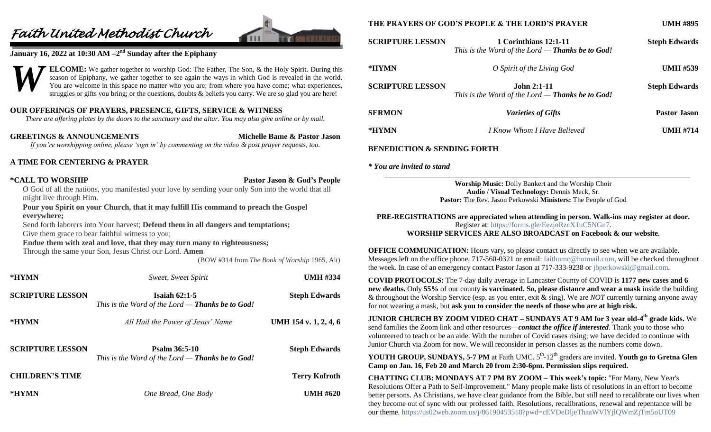## *Faith United Methodist Church*



#### **January 16, 2022 at 10:30 AM**  $-2^{\text{nd}}$  **Sunday after the Epiphany**



**ELCOME:** We gather together to worship God: The Father, The Son, & the Holy Spirit. During this season of Epiphany, we gather together to see again the ways in which God is revealed in the world. You are welcome in this space no matter who you are; from where you have come; what experiences, struggles or gifts you bring; or the questions, doubts & beliefs you carry. We are so glad you are here!

#### **OUR OFFERINGS OF PRAYERS, PRESENCE, GIFTS, SERVICE & WITNESS**

*There are offering plates by the doors to the sanctuary and the altar. You may also give online or by mail.*

**GREETINGS & ANNOUNCEMENTS Michelle Bame & Pastor Jason** *If you're worshipping online, please 'sign in' by commenting on the video & post prayer requests, too.*

#### **A TIME FOR CENTERING & PRAYER**

**\*CALL TO WORSHIP Pastor Jason & God's People**

O God of all the nations, you manifested your love by sending your only Son into the world that all might live through Him.

**Pour you Spirit on your Church, that it may fulfill His command to preach the Gospel everywhere;**

Send forth laborers into Your harvest; **Defend them in all dangers and temptations;** Give them grace to bear faithful witness to you;

#### **Endue them with zeal and love, that they may turn many to righteousness;**

Through the same your Son, Jesus Christ our Lord. **Amen**

(BOW #314 from *The Book of Worship* 1965, Alt)

| *HYMN                   | Sweet, Sweet Spirit                                                        | <b>UMH #334</b>       |
|-------------------------|----------------------------------------------------------------------------|-----------------------|
| <b>SCRIPTURE LESSON</b> | Isaiah $62:1-5$<br>This is the Word of the Lord — <b>Thanks be to God!</b> | <b>Steph Edwards</b>  |
| *HYMN                   | All Hail the Power of Jesus' Name                                          | UMH 154 v. 1, 2, 4, 6 |
| <b>SCRIPTURE LESSON</b> | Psalm 36:5-10<br>This is the Word of the Lord — <b>Thanks be to God!</b>   | <b>Steph Edwards</b>  |
| <b>CHILDREN'S TIME</b>  |                                                                            | <b>Terry Kofroth</b>  |
| *HYMN                   | One Bread, One Body                                                        | <b>UMH #620</b>       |

#### **THE PRAYERS OF GOD'S PEOPLE & THE LORD'S PRAYER UMH #895**

| <b>SCRIPTURE LESSON</b> | 1 Corinthians 12:1-11<br>This is the Word of the Lord $-$ Thanks be to God! | <b>Steph Edwards</b> |
|-------------------------|-----------------------------------------------------------------------------|----------------------|
| *HYMN                   | O Spirit of the Living God                                                  | <b>UMH #539</b>      |
| <b>SCRIPTURE LESSON</b> | $John 2:1-11$<br>This is the Word of the Lord — <b>Thanks be to God!</b>    | <b>Steph Edwards</b> |
| <b>SERMON</b>           | <i>Varieties of Gifts</i>                                                   | <b>Pastor Jason</b>  |
| *HYMN                   | <i>I Know Whom I Have Believed</i>                                          | <b>UMH #714</b>      |

#### **BENEDICTION & SENDING FORTH**

*\* You are invited to stand*

**Worship Music:** Dolly Bankert and the Worship Choir **Audio / Visual Technology:** Dennis Meck, Sr. **Pastor:** The Rev. Jason Perkowski **Ministers:** The People of God

**PRE-REGISTRATIONS are appreciated when attending in person. Walk-ins may register at door.**  Register at:<https://forms.gle/EezjoRzcX1uC5NGn7>*.* **WORSHIP SERVICES ARE ALSO BROADCAST on Facebook & our website.**

**OFFICE COMMUNICATION:** Hours vary, so please contact us directly to see when we are available. Messages left on the office phone, 717-560-0321 or email: [faithumc@hotmail.com,](mailto:faithumc@hotmail.com) will be checked throughout the week. In case of an emergency contact Pastor Jason at 717-333-9238 or [jbperkowski@gmail.com.](mailto:jbperkowski@gmail.com)

**COVID PROTOCOLS:** The 7-day daily average in Lancaster County of COVID is **1177 new cases and 6 new deaths.** Only **55%** of our county **is vaccinated. So, please distance and wear a mask** inside the building & throughout the Worship Service (esp. as you enter, exit & sing). We are *NOT* currently turning anyone away for not wearing a mask, but **ask you to consider the needs of those who are at high risk.**

**JUNIOR CHURCH BY ZOOM VIDEO CHAT – SUNDAYS AT 9 AM for 3 year old-4 th grade kids.** We send families the Zoom link and other resources—*contact the office if interested*. Thank you to those who volunteered to teach or be an aide. With the number of Covid cases rising, we have decided to continue with Junior Church via Zoom for now. We will reconsider in person classes as the numbers come down.

**YOUTH GROUP, SUNDAYS, 5-7 PM** at Faith UMC.  $5<sup>th</sup>$ -12<sup>th</sup> graders are invited. **Youth go to Gretna Glen Camp on Jan. 16, Feb 20 and March 20 from 2:30-6pm. Permission slips required.**

**CHATTING CLUB: MONDAYS AT 7 PM BY ZOOM – This week's topic:** "For Many, New Year's Resolutions Offer a Path to Self-Improvement." Many people make lists of resolutions in an effort to become better persons. As Christians, we have clear guidance from the Bible, but still need to recalibrate our lives when they become out of sync with our professed faith. Resolutions, recalibrations, renewal and repentance will be our theme.<https://us02web.zoom.us/j/86190453518?pwd=cEVDeDljeThaaWVlYjlQWmZjTm5oUT09>